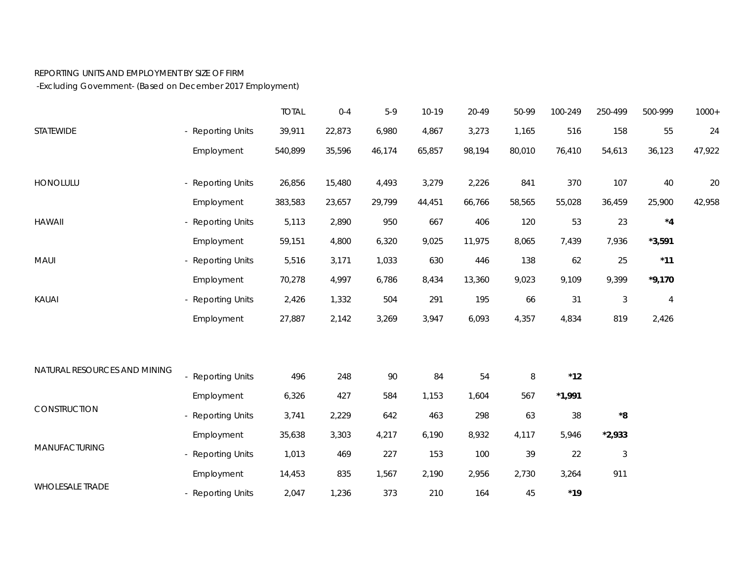## REPORTING UNITS AND EMPLOYMENT BY SIZE OF FIRM

-Excluding Government- (Based on December 2017 Employment)

|                              |                        | <b>TOTAL</b> | $0 - 4$ | $5-9$  | $10-19$ | 20-49  | 50-99  | 100-249       | 250-499     | 500-999        | $1000+$ |
|------------------------------|------------------------|--------------|---------|--------|---------|--------|--------|---------------|-------------|----------------|---------|
| STATEWIDE                    | - Reporting Units      | 39,911       | 22,873  | 6,980  | 4,867   | 3,273  | 1,165  | 516           | 158         | 55             | 24      |
|                              | Employment             | 540,899      | 35,596  | 46,174 | 65,857  | 98,194 | 80,010 | 76,410        | 54,613      | 36,123         | 47,922  |
| HONOLULU                     | - Reporting Units      | 26,856       | 15,480  | 4,493  | 3,279   | 2,226  | 841    | 370           | 107         | 40             | 20      |
|                              | Employment             | 383,583      | 23,657  | 29,799 | 44,451  | 66,766 | 58,565 | 55,028        | 36,459      | 25,900         | 42,958  |
| <b>HAWAII</b>                | - Reporting Units      | 5,113        | 2,890   | 950    | 667     | 406    | 120    | 53            | 23          | $^{\star}4$    |         |
|                              | Employment             | 59,151       | 4,800   | 6,320  | 9,025   | 11,975 | 8,065  | 7,439         | 7,936       | $*3,591$       |         |
| MAUI                         | - Reporting Units      | 5,516        | 3,171   | 1,033  | 630     | 446    | 138    | 62            | 25          | $*11$          |         |
|                              | Employment             | 70,278       | 4,997   | 6,786  | 8,434   | 13,360 | 9,023  | 9,109         | 9,399       | $*9,170$       |         |
| <b>KAUAI</b>                 | - Reporting Units      | 2,426        | 1,332   | 504    | 291     | 195    | 66     | 31            | $\sqrt{3}$  | $\overline{4}$ |         |
|                              | Employment             | 27,887       | 2,142   | 3,269  | 3,947   | 6,093  | 4,357  | 4,834         | 819         | 2,426          |         |
|                              |                        |              |         |        |         |        |        |               |             |                |         |
| NATURAL RESOURCES AND MINING | - Reporting Units      | 496          | 248     | 90     | 84      | 54     | $\, 8$ | $^{\star}$ 12 |             |                |         |
| CONSTRUCTION                 | Employment             | 6,326        | 427     | 584    | 1,153   | 1,604  | 567    | $*1,991$      |             |                |         |
|                              | <b>Reporting Units</b> | 3,741        | 2,229   | 642    | 463     | 298    | 63     | 38            | $^{\star}8$ |                |         |
| MANUFACTURING                | Employment             | 35,638       | 3,303   | 4,217  | 6,190   | 8,932  | 4,117  | 5,946         | $*2,933$    |                |         |
|                              | - Reporting Units      | 1,013        | 469     | 227    | 153     | 100    | 39     | 22            | $\sqrt{3}$  |                |         |
| <b>WHOLESALE TRADE</b>       | Employment             | 14,453       | 835     | 1,567  | 2,190   | 2,956  | 2,730  | 3,264         | 911         |                |         |
|                              | <b>Reporting Units</b> | 2,047        | 1,236   | 373    | 210     | 164    | 45     | $*19$         |             |                |         |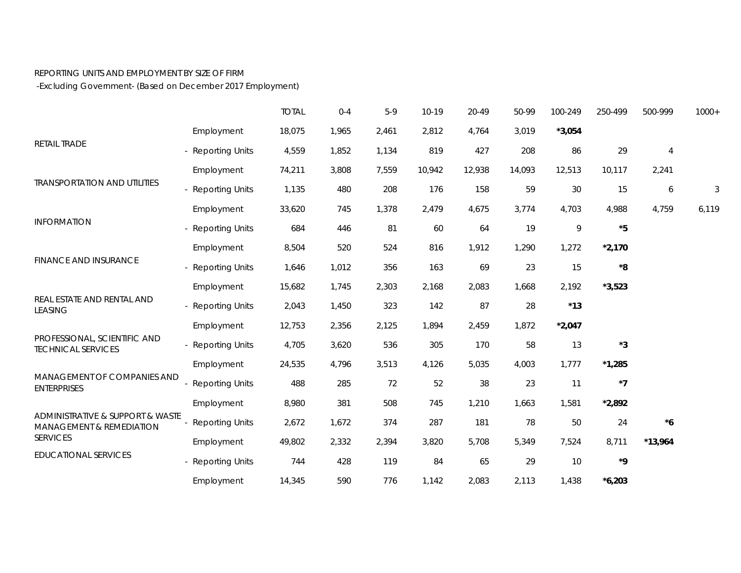## REPORTING UNITS AND EMPLOYMENT BY SIZE OF FIRM

-Excluding Government- (Based on December 2017 Employment)

|                                                                                                           |                   | <b>TOTAL</b> | $0 - 4$ | $5-9$ | $10-19$ | 20-49  | 50-99  | 100-249  | 250-499                  | 500-999   | $1000+$ |
|-----------------------------------------------------------------------------------------------------------|-------------------|--------------|---------|-------|---------|--------|--------|----------|--------------------------|-----------|---------|
| <b>RETAIL TRADE</b>                                                                                       | Employment        | 18,075       | 1,965   | 2,461 | 2,812   | 4,764  | 3,019  | $*3,054$ |                          |           |         |
|                                                                                                           | - Reporting Units | 4,559        | 1,852   | 1,134 | 819     | 427    | 208    | 86       | 29                       | 4         |         |
| <b>TRANSPORTATION AND UTILITIES</b>                                                                       | Employment        | 74,211       | 3,808   | 7,559 | 10,942  | 12,938 | 14,093 | 12,513   | 10,117                   | 2,241     |         |
|                                                                                                           | - Reporting Units | 1,135        | 480     | 208   | 176     | 158    | 59     | 30       | 15                       | 6         | 3       |
|                                                                                                           | Employment        | 33,620       | 745     | 1,378 | 2,479   | 4,675  | 3,774  | 4,703    | 4,988                    | 4,759     | 6,119   |
| <b>INFORMATION</b>                                                                                        | - Reporting Units | 684          | 446     | 81    | 60      | 64     | 19     | 9        | $*5$                     |           |         |
| <b>FINANCE AND INSURANCE</b>                                                                              | Employment        | 8,504        | 520     | 524   | 816     | 1,912  | 1,290  | 1,272    | $*2,170$                 |           |         |
|                                                                                                           | - Reporting Units | 1,646        | 1,012   | 356   | 163     | 69     | 23     | 15       | ${}^{\star}8$            |           |         |
| REAL ESTATE AND RENTAL AND<br><b>LEASING</b><br>PROFESSIONAL, SCIENTIFIC AND<br><b>TECHNICAL SERVICES</b> | Employment        | 15,682       | 1,745   | 2,303 | 2,168   | 2,083  | 1,668  | 2,192    | $*3,523$                 |           |         |
|                                                                                                           | - Reporting Units | 2,043        | 1,450   | 323   | 142     | 87     | 28     | $*13$    |                          |           |         |
|                                                                                                           | Employment        | 12,753       | 2,356   | 2,125 | 1,894   | 2,459  | 1,872  | $*2,047$ |                          |           |         |
|                                                                                                           | - Reporting Units | 4,705        | 3,620   | 536   | 305     | 170    | 58     | 13       | $^{\star}3$              |           |         |
|                                                                                                           | Employment        | 24,535       | 4,796   | 3,513 | 4,126   | 5,035  | 4,003  | 1,777    | $*1,285$                 |           |         |
| MANAGEMENT OF COMPANIES AND<br><b>ENTERPRISES</b>                                                         | - Reporting Units | 488          | 285     | 72    | 52      | 38     | 23     | 11       | $*7$                     |           |         |
|                                                                                                           | Employment        | 8,980        | 381     | 508   | 745     | 1,210  | 1,663  | 1,581    | $*2,892$                 |           |         |
| ADMINISTRATIVE & SUPPORT & WASTE<br><b>MANAGEMENT &amp; REMEDIATION</b><br><b>SERVICES</b>                | - Reporting Units | 2,672        | 1,672   | 374   | 287     | 181    | 78     | 50       | 24                       | $*6$      |         |
|                                                                                                           | Employment        | 49,802       | 2,332   | 2,394 | 3,820   | 5,708  | 5,349  | 7,524    | 8,711                    | $*13,964$ |         |
| <b>EDUCATIONAL SERVICES</b>                                                                               | - Reporting Units | 744          | 428     | 119   | 84      | 65     | 29     | 10       | ${}^{\star}{\mathbf{9}}$ |           |         |
|                                                                                                           | Employment        | 14,345       | 590     | 776   | 1,142   | 2,083  | 2,113  | 1,438    | $*6,203$                 |           |         |